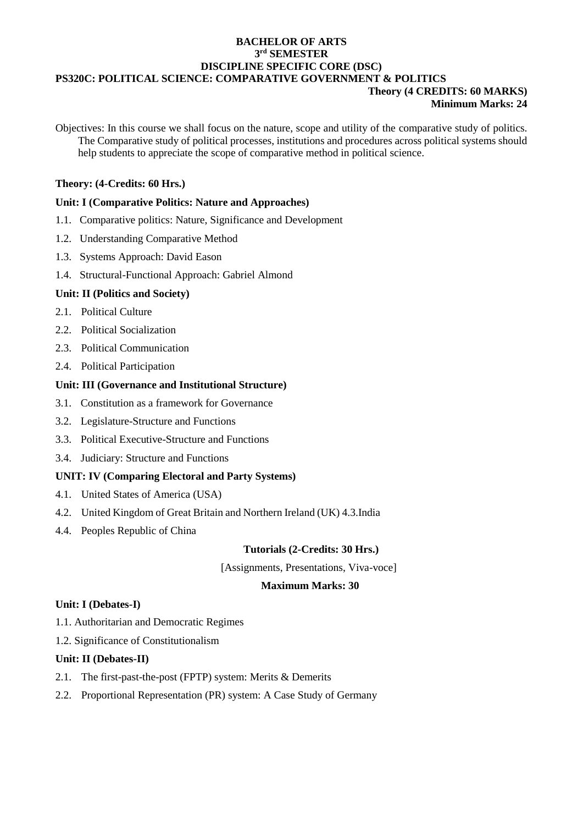### **BACHELOR OF ARTS 3 rd SEMESTER DISCIPLINE SPECIFIC CORE (DSC) PS320C: POLITICAL SCIENCE: COMPARATIVE GOVERNMENT & POLITICS Theory (4 CREDITS: 60 MARKS)**

# **Minimum Marks: 24**

Objectives: In this course we shall focus on the nature, scope and utility of the comparative study of politics. The Comparative study of political processes, institutions and procedures across political systems should help students to appreciate the scope of comparative method in political science.

# **Theory: (4-Credits: 60 Hrs.)**

# **Unit: I (Comparative Politics: Nature and Approaches)**

- 1.1. Comparative politics: Nature, Significance and Development
- 1.2. Understanding Comparative Method
- 1.3. Systems Approach: David Eason
- 1.4. Structural-Functional Approach: Gabriel Almond

### **Unit: II (Politics and Society)**

- 2.1 Political Culture
- 2.2. Political Socialization
- 2.3. Political Communication
- 2.4. Political Participation

### **Unit: III (Governance and Institutional Structure)**

- 3.1. Constitution as a framework for Governance
- 3.2. Legislature-Structure and Functions
- 3.3. Political Executive-Structure and Functions
- 3.4. Judiciary: Structure and Functions

# **UNIT: IV (Comparing Electoral and Party Systems)**

- 4.1. United States of America (USA)
- 4.2. United Kingdom of Great Britain and Northern Ireland (UK) 4.3.India
- 4.4. Peoples Republic of China

### **Tutorials (2-Credits: 30 Hrs.)**

[Assignments, Presentations, Viva-voce]

### **Maximum Marks: 30**

### **Unit: I (Debates-I)**

- 1.1. Authoritarian and Democratic Regimes
- 1.2. Significance of Constitutionalism

# **Unit: II (Debates-II)**

- 2.1. The first-past-the-post (FPTP) system: Merits & Demerits
- 2.2. Proportional Representation (PR) system: A Case Study of Germany